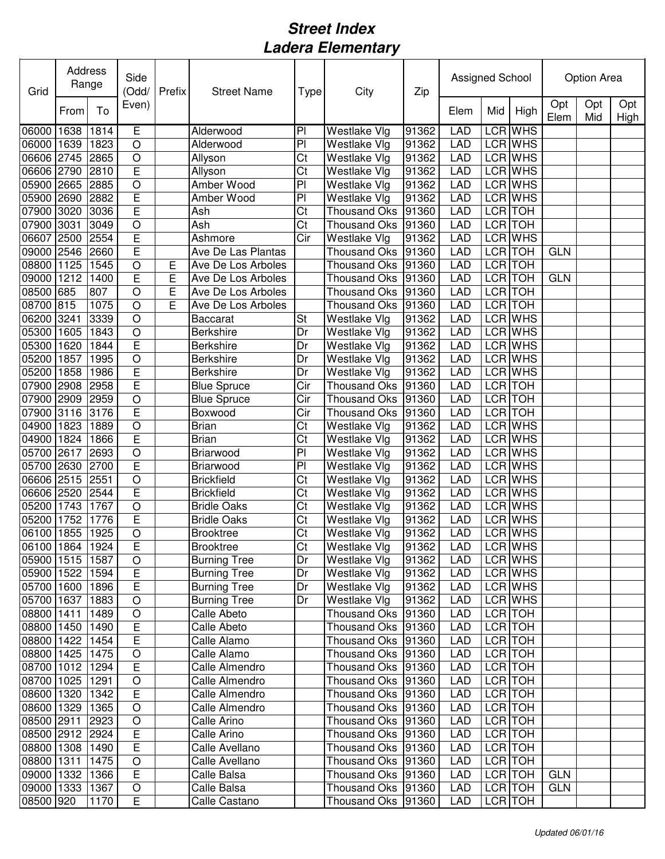| Grid                     | Address<br>Range |              | Side<br>(Odd/             | Prefix | <b>Street Name</b>                     | Type                             | City                                       | Zip            | Assigned School          |         |                           | Option Area |            |             |  |
|--------------------------|------------------|--------------|---------------------------|--------|----------------------------------------|----------------------------------|--------------------------------------------|----------------|--------------------------|---------|---------------------------|-------------|------------|-------------|--|
|                          | From             | To           | Even)                     |        |                                        |                                  |                                            |                | Elem                     | Mid     | High                      | Opt<br>Elem | Opt<br>Mid | Opt<br>High |  |
| 06000<br>06000           | 1638<br>1639     | 1814<br>1823 | Ē<br>$\circ$              |        | Alderwood<br>Alderwood                 | P <sub>1</sub><br>$\overline{P}$ | <b>Westlake Vlg</b><br>Westlake Vlg        | 91362<br>91362 | <b>LAD</b><br><b>LAD</b> |         | <b>LCR WHS</b><br>LCR WHS |             |            |             |  |
| 06606                    | 2745             | 2865         | $\circ$                   |        | Allyson                                | Ct                               | Westlake Vlg                               | 91362          | LAD                      |         | LCR WHS                   |             |            |             |  |
| 06606                    | 2790             | 2810         | E                         |        | Allyson                                | $\overline{\text{Ct}}$           | Westlake Vlg                               | 91362          | LAD                      |         | <b>LCR WHS</b>            |             |            |             |  |
| 05900                    | 2665             | 2885         | $\circ$                   |        | <b>Amber Wood</b>                      | $\overline{P}$                   | Westlake Vlg                               | 91362          | LAD                      |         | <b>LCR WHS</b>            |             |            |             |  |
| 05900                    | 2690             | 2882         | E                         |        | Amber Wood                             | PI                               | Westlake Vlg                               | 91362          | <b>LAD</b>               |         | <b>LCR WHS</b>            |             |            |             |  |
| 07900                    | 3020             | 3036         | E                         |        | Ash                                    | Ct                               | <b>Thousand Oks</b>                        | 91360          | LAD                      | LCR TOH |                           |             |            |             |  |
| 07900                    | 3031             | 3049         | $\circ$                   |        | Ash                                    | $\overline{\text{Ct}}$           | <b>Thousand Oks</b>                        | 91360          | LAD                      | LCR TOH |                           |             |            |             |  |
| 06607                    | 2500             | 2554         | E                         |        | Ashmore                                | Cir                              | <b>Westlake Vlg</b>                        | 91362          | <b>LAD</b>               |         | <b>LCR WHS</b>            |             |            |             |  |
| 09000 2546               |                  | 2660         | E                         |        | Ave De Las Plantas                     |                                  | <b>Thousand Oks</b>                        | 91360          | LAD                      | LCR TOH |                           | <b>GLN</b>  |            |             |  |
| 08800                    | 1125             | 1545         | $\bigcirc$                | E      | Ave De Los Arboles                     |                                  | <b>Thousand Oks</b>                        | 91360          | LAD                      | LCR TOH |                           |             |            |             |  |
| 09000                    | 1212             | 1400         | E                         | E      | Ave De Los Arboles                     |                                  | <b>Thousand Oks</b>                        | 91360          | <b>LAD</b>               | LCR TOH |                           | <b>GLN</b>  |            |             |  |
| 08500                    | 685              | 807          | $\circ$                   | E      | Ave De Los Arboles                     |                                  | <b>Thousand Oks</b>                        | 91360          | <b>LAD</b>               | LCR TOH |                           |             |            |             |  |
| 08700                    | 815              | 1075         | $\circ$                   | E      | Ave De Los Arboles                     |                                  | Thousand Oks                               | 91360          | <b>LAD</b>               | LCR TOH |                           |             |            |             |  |
| 06200                    | 3241             | 3339         | $\circ$                   |        | <b>Baccarat</b>                        | St                               | Westlake Vlg                               | 91362          | <b>LAD</b>               |         | LCR WHS                   |             |            |             |  |
| 05300                    | 1605             | 1843         | $\circ$                   |        | <b>Berkshire</b>                       | Dr                               | Westlake Vlg                               | 91362          | <b>LAD</b>               |         | LCR WHS                   |             |            |             |  |
| 05300                    | 1620             | 1844         | E                         |        | Berkshire                              | Dr                               | <b>Westlake Vlg</b>                        | 91362          | LAD                      |         | LCR WHS                   |             |            |             |  |
| 05200                    | 1857             | 1995         | $\bigcirc$                |        | Berkshire                              | Dr                               | <b>Westlake Vlg</b>                        | 91362          | <b>LAD</b>               |         | LCR WHS                   |             |            |             |  |
| 05200                    | 1858             | 1986         | E                         |        | <b>Berkshire</b>                       | Dr                               | Westlake Vlg                               | 91362          | LAD                      |         | LCR WHS                   |             |            |             |  |
| 07900                    | 2908             | 2958         | E                         |        | <b>Blue Spruce</b>                     | Cir                              | <b>Thousand Oks</b>                        | 91360          | <b>LAD</b>               | LCR TOH |                           |             |            |             |  |
| 07900                    | 2909             | 2959         | $\overline{O}$            |        | <b>Blue Spruce</b>                     | Cir                              | Thousand Oks                               | 91360          | <b>LAD</b>               |         | LCR TOH                   |             |            |             |  |
| 07900                    | 3116             | 3176         | E                         |        | Boxwood                                | Cir                              | <b>Thousand Oks</b>                        | 91360          | LAD                      | LCR TOH |                           |             |            |             |  |
| 04900                    | 1823             | 1889         | $\circ$                   |        | <b>Brian</b>                           | Ct                               | Westlake Vlg                               | 91362          | <b>LAD</b>               |         | LCR WHS                   |             |            |             |  |
| 04900                    | 1824             | 1866         | E                         |        | <b>Brian</b>                           | Ct                               | Westlake Vlg                               | 91362          | <b>LAD</b>               |         | LCR WHS                   |             |            |             |  |
| 05700                    | 2617             | 2693         | $\bigcirc$                |        | Briarwood                              | PI                               | Westlake Vlg                               | 91362          | LAD                      |         | LCR WHS                   |             |            |             |  |
| 05700                    | 2630             | 2700         | E                         |        | Briarwood                              | P <sub>1</sub>                   | Westlake Vlg                               | 91362          | <b>LAD</b>               |         | LCR WHS                   |             |            |             |  |
| 06606 2515<br>06606 2520 |                  | 2551<br>2544 | $\circ$<br>$\overline{E}$ |        | <b>Brickfield</b><br><b>Brickfield</b> | Ct<br>Ct                         | <b>Westlake Vlg</b><br><b>Westlake Vlg</b> | 91362          | <b>LAD</b>               |         | LCR WHS<br>LCR WHS        |             |            |             |  |
| 05200                    | 1743             | 1767         | $\circ$                   |        | <b>Bridle Oaks</b>                     | Ct                               | <b>Westlake Vlg</b>                        | 91362<br>91362 | <b>LAD</b><br><b>LAD</b> |         | <b>LCR WHS</b>            |             |            |             |  |
| 05200                    | 1752             | 1776         | E                         |        | <b>Bridle Oaks</b>                     | Ct                               | <b>Westlake Vlg</b>                        | 91362          | <b>LAD</b>               |         | <b>LCR WHS</b>            |             |            |             |  |
| 06100 1855               |                  | 1925         | $\circ$                   |        | <b>Brooktree</b>                       | $\overline{\text{Ct}}$           | Westlake Vlg                               | 91362          | <b>LAD</b>               |         | <b>LCR WHS</b>            |             |            |             |  |
| 06100 1864 1924          |                  |              | E                         |        | Brooktree                              | C <sub>t</sub>                   | <b>Westlake Vlg</b>                        | 91362          | <b>LAD</b>               |         | LCR WHS                   |             |            |             |  |
| 05900 1515 1587          |                  |              | $\circ$                   |        | <b>Burning Tree</b>                    | Dr                               | Westlake Vlg                               | 91362          | LAD                      |         | LCR WHS                   |             |            |             |  |
| 05900 1522               |                  | 1594         | E                         |        | <b>Burning Tree</b>                    | Dr                               | <b>Westlake Vlg</b>                        | 91362          | LAD                      |         | LCR WHS                   |             |            |             |  |
| 05700 1600 1896          |                  |              | E                         |        | <b>Burning Tree</b>                    | Dr                               | <b>Westlake Vlg</b>                        | 91362          | <b>LAD</b>               |         | LCR WHS                   |             |            |             |  |
| 05700 1637               |                  | 1883         | $\bigcirc$                |        | <b>Burning Tree</b>                    | Dr                               | Westlake Vlg                               | 91362          | <b>LAD</b>               |         | LCR WHS                   |             |            |             |  |
| 08800 1411               |                  | 1489         | $\bigcirc$                |        | Calle Abeto                            |                                  | <b>Thousand Oks</b>                        | 91360          | LAD                      |         | LCR TOH                   |             |            |             |  |
| 08800 1450               |                  | 1490         | E                         |        | Calle Abeto                            |                                  | Thousand Oks                               | 91360          | LAD                      |         | LCR TOH                   |             |            |             |  |
| 08800 1422               |                  | 1454         | E                         |        | Calle Alamo                            |                                  | Thousand Oks                               | 91360          | LAD                      |         | LCR TOH                   |             |            |             |  |
| 08800 1425               |                  | 1475         | $\bigcirc$                |        | Calle Alamo                            |                                  | Thousand Oks                               | 91360          | <b>LAD</b>               |         | LCR TOH                   |             |            |             |  |
| 08700 1012               |                  | 1294         | E                         |        | Calle Almendro                         |                                  | Thousand Oks 91360                         |                | <b>LAD</b>               |         | LCR TOH                   |             |            |             |  |
| 08700 1025               |                  | 1291         | $\circ$                   |        | Calle Almendro                         |                                  | Thousand Oks   91360                       |                | <b>LAD</b>               |         | LCR TOH                   |             |            |             |  |
| 08600 1320               |                  | 1342         | E                         |        | Calle Almendro                         |                                  | Thousand Oks                               | 91360          | <b>LAD</b>               | LCR TOH |                           |             |            |             |  |
| 08600 1329               |                  | 1365         | $\bigcirc$                |        | Calle Almendro                         |                                  | Thousand Oks 91360                         |                | <b>LAD</b>               | LCR TOH |                           |             |            |             |  |
| 08500 2911               |                  | 2923         | $\bigcirc$                |        | Calle Arino                            |                                  | Thousand Oks                               | 91360          | <b>LAD</b>               | LCR TOH |                           |             |            |             |  |
| 08500 2912 2924          |                  |              | $\overline{E}$            |        | Calle Arino                            |                                  | Thousand Oks                               | 91360          | <b>LAD</b>               | LCR TOH |                           |             |            |             |  |
| 08800 1308 1490          |                  |              | E                         |        | Calle Avellano                         |                                  | Thousand Oks                               | 91360          | <b>LAD</b>               | LCR TOH |                           |             |            |             |  |
| 08800 1311 1475          |                  |              | $\bigcirc$                |        | Calle Avellano                         |                                  | Thousand Oks                               | 91360          | <b>LAD</b>               | LCR TOH |                           |             |            |             |  |
| 09000 1332               |                  | 1366         | E                         |        | Calle Balsa                            |                                  | Thousand Oks   91360                       |                | LAD                      | LCR TOH |                           | <b>GLN</b>  |            |             |  |
| 09000 1333               |                  | 1367         | $\mathsf O$               |        | Calle Balsa                            |                                  | Thousand Oks 91360                         |                | <b>LAD</b>               | LCR TOH |                           | <b>GLN</b>  |            |             |  |
| 08500 920                |                  | 1170         | E                         |        | Calle Castano                          |                                  | Thousand Oks 91360                         |                | <b>LAD</b>               |         | LCR TOH                   |             |            |             |  |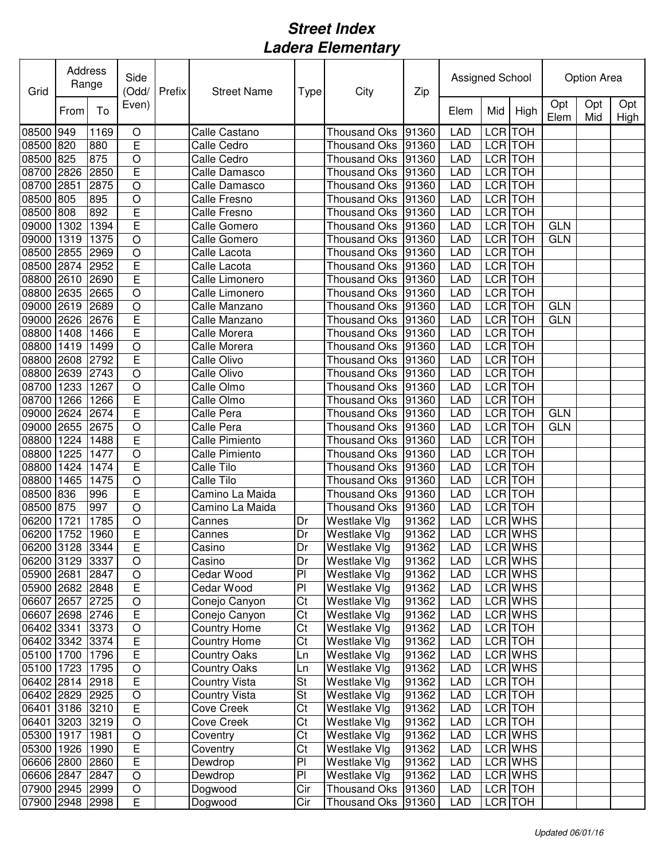| Grid                          | Address<br>Range |      | Side<br>(Odd/           | Prefix | <b>Street Name</b>   | Type                                             | City                                | Assigned School |                          |     | Option Area        |             |            |             |
|-------------------------------|------------------|------|-------------------------|--------|----------------------|--------------------------------------------------|-------------------------------------|-----------------|--------------------------|-----|--------------------|-------------|------------|-------------|
|                               | From             | To   | Even)                   |        |                      |                                                  |                                     | Zip             | Elem                     | Mid | High               | Opt<br>Elem | Opt<br>Mid | Opt<br>High |
| 08500                         | 949              | 1169 | O                       |        | Calle Castano        |                                                  | <b>Thousand Oks</b>                 | 91360           | <b>LAD</b>               |     | LCR TOH            |             |            |             |
| 08500                         | 820              | 880  | E                       |        | Calle Cedro          |                                                  | <b>Thousand Oks</b>                 | 91360           | <b>LAD</b>               |     | LCR TOH            |             |            |             |
| 08500                         | 825              | 875  | $\bigcirc$              |        | Calle Cedro          |                                                  | <b>Thousand Oks</b>                 | 91360           | <b>LAD</b>               |     | LCR TOH            |             |            |             |
| 08700                         | 2826             | 2850 | E                       |        | Calle Damasco        |                                                  | <b>Thousand Oks</b>                 | 91360           | <b>LAD</b>               |     | LCR TOH            |             |            |             |
| 08700                         | 2851             | 2875 | $\circ$                 |        | Calle Damasco        |                                                  | <b>Thousand Oks</b>                 | 91360           | <b>LAD</b>               |     | LCR TOH            |             |            |             |
| 08500                         | 805              | 895  | $\circ$                 |        | <b>Calle Fresno</b>  |                                                  | <b>Thousand Oks</b>                 | 91360           | <b>LAD</b>               |     | LCR TOH            |             |            |             |
| 08500                         | 808              | 892  | E                       |        | Calle Fresno         |                                                  | <b>Thousand Oks</b>                 | 91360           | <b>LAD</b>               |     | LCR TOH            |             |            |             |
| 09000                         | 1302             | 1394 | E                       |        | Calle Gomero         |                                                  | <b>Thousand Oks</b>                 | 91360           | <b>LAD</b>               |     | LCR TOH            | <b>GLN</b>  |            |             |
| 09000                         | 1319             | 1375 | $\circ$                 |        | Calle Gomero         |                                                  | <b>Thousand Oks</b>                 | 91360           | <b>LAD</b>               |     | LCR TOH            | <b>GLN</b>  |            |             |
| 08500                         | 2855             | 2969 | $\circ$                 |        | Calle Lacota         |                                                  | <b>Thousand Oks</b>                 | 91360           | <b>LAD</b>               |     | LCR TOH            |             |            |             |
| 08500                         | 2874             | 2952 | E                       |        | Calle Lacota         |                                                  | <b>Thousand Oks</b>                 | 91360           | <b>LAD</b>               |     | LCR TOH            |             |            |             |
| 08800                         | 2610             | 2690 | E                       |        | Calle Limonero       |                                                  | <b>Thousand Oks</b>                 | 91360           | <b>LAD</b>               |     | LCR TOH            |             |            |             |
| 08800                         | 2635             | 2665 | $\circ$                 |        | Calle Limonero       |                                                  | <b>Thousand Oks</b>                 | 91360           | <b>LAD</b>               |     | LCR TOH            |             |            |             |
| 09000                         | 2619             | 2689 | $\circ$                 |        | Calle Manzano        |                                                  | <b>Thousand Oks</b>                 | 91360           | <b>LAD</b>               |     | LCR TOH            | <b>GLN</b>  |            |             |
| 09000                         | 2626             | 2676 | E                       |        | Calle Manzano        |                                                  | <b>Thousand Oks</b>                 | 91360           | LAD                      |     | LCR TOH            | <b>GLN</b>  |            |             |
| 08800                         | 1408             | 1466 | E                       |        | Calle Morera         |                                                  | <b>Thousand Oks</b>                 | 91360           | LAD                      |     | <b>LCR</b> TOH     |             |            |             |
| 08800                         | 1419             | 1499 | $\circ$                 |        | Calle Morera         |                                                  | <b>Thousand Oks</b>                 | 91360           | <b>LAD</b>               |     | <b>LCR</b> TOH     |             |            |             |
| 08800                         | 2608             | 2792 | Ē                       |        | Calle Olivo          |                                                  | <b>Thousand Oks</b>                 | 91360           | <b>LAD</b>               |     | <b>LCR</b> TOH     |             |            |             |
| 08800                         | 2639             | 2743 | $\overline{O}$          |        | Calle Olivo          |                                                  | <b>Thousand Oks</b>                 | 91360           | LAD                      |     | <b>LCR</b> TOH     |             |            |             |
| 08700                         | 1233             | 1267 | $\circ$                 |        | Calle Olmo           |                                                  | <b>Thousand Oks</b>                 | 91360           | <b>LAD</b>               |     | LCR TOH            |             |            |             |
| 08700                         | 1266             | 1266 | E                       |        | Calle Olmo           |                                                  | <b>Thousand Oks</b>                 | 91360           | <b>LAD</b>               |     | LCR TOH            |             |            |             |
| 09000                         | 2624             | 2674 | E                       |        | Calle Pera           |                                                  | <b>Thousand Oks</b>                 | 91360           | <b>LAD</b>               |     | LCR TOH            | <b>GLN</b>  |            |             |
| 09000                         | 2655             | 2675 | $\circ$                 |        | Calle Pera           |                                                  | <b>Thousand Oks</b>                 | 91360           | <b>LAD</b>               |     | LCR TOH            | <b>GLN</b>  |            |             |
| 08800                         | 1224             | 1488 | E                       |        | Calle Pimiento       |                                                  | <b>Thousand Oks</b>                 | 91360           | <b>LAD</b>               |     | LCR TOH            |             |            |             |
| 08800                         | 1225             | 1477 | $\circ$                 |        | Calle Pimiento       |                                                  | <b>Thousand Oks</b>                 | 91360           | <b>LAD</b>               |     | <b>LCR</b> TOH     |             |            |             |
| 08800                         | 1424             | 1474 | E                       |        | Calle Tilo           |                                                  | <b>Thousand Oks</b>                 | 91360           | <b>LAD</b>               |     | LCR TOH            |             |            |             |
| 08800                         | 1465             | 1475 | $\bigcirc$              |        | Calle Tilo           |                                                  | <b>Thousand Oks</b>                 | 91360           | <b>LAD</b>               |     | LCR TOH            |             |            |             |
| 08500                         | 836              | 996  | E                       |        | Camino La Maida      |                                                  | <b>Thousand Oks</b>                 | 91360           | <b>LAD</b>               |     | LCR TOH            |             |            |             |
| 08500                         | 875              | 997  | $\circ$                 |        | Camino La Maida      |                                                  | <b>Thousand Oks</b>                 | 91360           | <b>LAD</b>               |     | LCR TOH            |             |            |             |
| 06200                         | 1721             | 1785 | $\circ$                 |        | Cannes               | Dr                                               | Westlake Vlg                        | 91362           | <b>LAD</b>               |     | LCR WHS            |             |            |             |
| 06200 1752                    |                  | 1960 | E                       |        | Cannes               | Dr                                               | <b>Westlake Vlg</b>                 | 91362           | <b>LAD</b>               |     | LCR WHS            |             |            |             |
| 06200 3128 3344               |                  |      | E                       |        | Casino               | Dr                                               | <b>Westlake Vig</b>                 | 91362           | <b>LAD</b>               |     | LCR WHS            |             |            |             |
| 06200 3129 3337               |                  |      | $\bigcirc$              |        | Casino               | Dr                                               | Westlake Vlg                        | 91362           | <b>LAD</b>               |     | LCR WHS            |             |            |             |
| 05900 2681                    |                  | 2847 | $\bigcirc$              |        | Cedar Wood           | PI                                               | Westlake Vlg                        | 91362           | <b>LAD</b>               |     | LCR WHS            |             |            |             |
| 05900 2682 2848               |                  |      | E                       |        | Cedar Wood           | PI                                               | Westlake Vlg                        | 91362           | <b>LAD</b>               |     | LCR WHS            |             |            |             |
| 06607 2657                    |                  | 2725 | $\bigcirc$              |        | Conejo Canyon        | Ct                                               | Westlake Vlg                        | 91362           | <b>LAD</b>               |     | LCR WHS            |             |            |             |
| 06607 2698 2746               |                  |      | $\overline{E}$          |        | Conejo Canyon        | Ct                                               | Westlake Vlg                        | 91362           | <b>LAD</b>               |     | LCR WHS            |             |            |             |
| 06402 3341                    |                  | 3373 | $\bigcirc$              |        | <b>Country Home</b>  | Ct                                               | Westlake Vlg                        | 91362           | <b>LAD</b>               |     | LCR TOH            |             |            |             |
| 06402 3342 3374               |                  |      | $\overline{E}$          |        | <b>Country Home</b>  | Ct                                               | Westlake Vlg                        | 91362           | <b>LAD</b>               |     | LCR TOH            |             |            |             |
| 05100 1700                    |                  | 1796 | $\overline{E}$          |        | <b>Country Oaks</b>  | Ln                                               | Westlake Vlg                        | 91362           | <b>LAD</b>               |     | LCR WHS            |             |            |             |
| 05100 1723                    |                  | 1795 | $\bigcirc$              |        | <b>Country Oaks</b>  | Ln                                               | Westlake Vlg                        | 91362           | LAD                      |     | LCR WHS            |             |            |             |
| 06402 2814 2918               |                  |      | E                       |        | <b>Country Vista</b> | <b>St</b>                                        | Westlake Vlg                        | 91362           | <b>LAD</b>               |     | LCR TOH            |             |            |             |
| 06402 2829 2925               |                  |      | $\bigcirc$              |        | <b>Country Vista</b> | <b>St</b>                                        | Westlake Vlg                        | 91362           | <b>LAD</b>               |     | LCR TOH            |             |            |             |
| 06401 3186 3210               |                  |      | $\overline{\mathsf{E}}$ |        | Cove Creek           | Ct                                               | Westlake Vlg                        | 91362           | <b>LAD</b>               |     | LCR TOH            |             |            |             |
| 06401 3203 3219               |                  |      | $\bigcirc$              |        | Cove Creek           | $\overline{\text{C}t}$                           | Westlake Vlg                        | 91362           | <b>LAD</b>               |     | LCR TOH            |             |            |             |
| 05300 1917                    |                  | 1981 | $\bigcirc$              |        | Coventry             | $\overline{\text{C}t}$<br>$\overline{\text{C}t}$ | Westlake Vlg                        | 91362           | <b>LAD</b>               |     | LCR WHS            |             |            |             |
| 05300 1926                    |                  | 1990 | E<br>E                  |        | Coventry             | $\overline{P}$                                   | Westlake Vlg                        | 91362<br>91362  | <b>LAD</b>               |     | LCR WHS<br>LCR WHS |             |            |             |
| 06606 2800 2860               |                  | 2847 | $\bigcirc$              |        | Dewdrop              | $\overline{P}$                                   | Westlake Vlg                        | 91362           | <b>LAD</b><br><b>LAD</b> |     | LCR WHS            |             |            |             |
| 06606 2847<br>07900 2945 2999 |                  |      | $\bigcirc$              |        | Dewdrop<br>Dogwood   | Cir                                              | Westlake Vlg<br><b>Thousand Oks</b> | 91360           | <b>LAD</b>               |     | LCR TOH            |             |            |             |
|                               |                  |      |                         |        |                      |                                                  |                                     |                 |                          |     | LCR TOH            |             |            |             |
| 07900 2948                    |                  | 2998 | E                       |        | Dogwood              | Cir                                              | <b>Thousand Oks</b>                 | 91360           | <b>LAD</b>               |     |                    |             |            |             |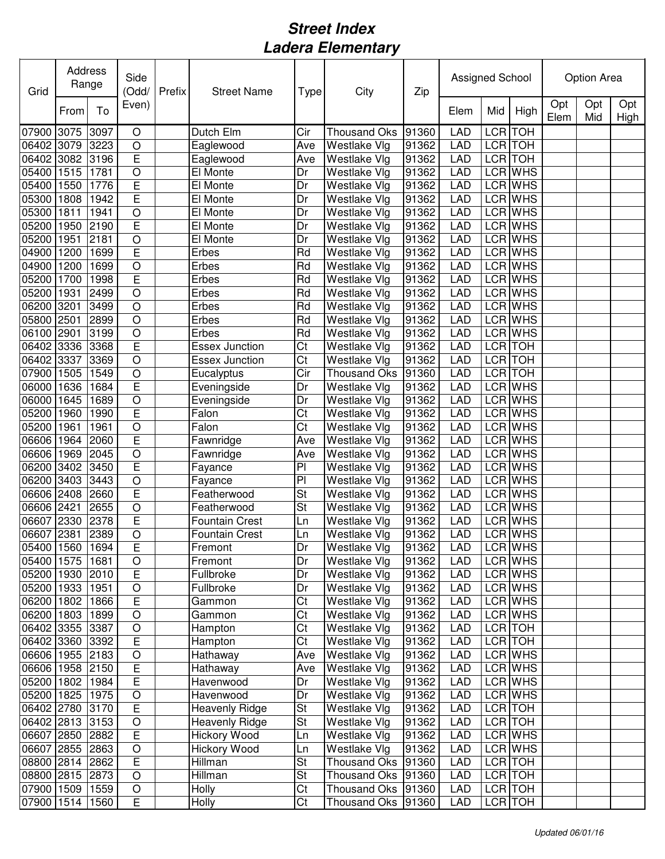| Grid            | Address<br>Range |      | Side<br>(Odd/  | Prefix | <b>Street Name</b>    | <b>Type</b>              | City                | Zip   | Assigned School |     |                | Option Area |            |             |
|-----------------|------------------|------|----------------|--------|-----------------------|--------------------------|---------------------|-------|-----------------|-----|----------------|-------------|------------|-------------|
|                 | From             | To   | Even)          |        |                       |                          |                     |       | Elem            | Mid | High           | Opt<br>Elem | Opt<br>Mid | Opt<br>High |
| 07900           | 3075             | 3097 | $\circ$        |        | Dutch Elm             | Cir                      | <b>Thousand Oks</b> | 91360 | <b>LAD</b>      |     | LCR TOH        |             |            |             |
| 06402           | 3079             | 3223 | $\circ$        |        | Eaglewood             | Ave                      | Westlake Vlg        | 91362 | <b>LAD</b>      |     | LCR TOH        |             |            |             |
| 06402           | 3082             | 3196 | E              |        | Eaglewood             | Ave                      | Westlake Vlg        | 91362 | <b>LAD</b>      |     | LCR TOH        |             |            |             |
| 05400           | 1515             | 1781 | $\bigcirc$     |        | El Monte              | Dr                       | Westlake Vlg        | 91362 | <b>LAD</b>      |     | LCR WHS        |             |            |             |
| 05400           | 1550             | 1776 | E              |        | El Monte              | Dr                       | <b>Westlake Vlg</b> | 91362 | <b>LAD</b>      |     | LCR WHS        |             |            |             |
| 05300           | 1808             | 1942 | E              |        | El Monte              | Dr                       | Westlake Vlg        | 91362 | <b>LAD</b>      |     | LCR WHS        |             |            |             |
| 05300           | 1811             | 1941 | $\circ$        |        | El Monte              | Dr                       | Westlake Vlg        | 91362 | <b>LAD</b>      |     | LCR WHS        |             |            |             |
| 05200           | 1950             | 2190 | E              |        | El Monte              | Dr                       | <b>Westlake Vlg</b> | 91362 | <b>LAD</b>      |     | LCR WHS        |             |            |             |
| 05200           | 1951             | 2181 | $\bigcirc$     |        | El Monte              | Dr                       | Westlake Vlg        | 91362 | <b>LAD</b>      |     | LCR WHS        |             |            |             |
| 04900           | 1200             | 1699 | E              |        | Erbes                 | Rd                       | Westlake Vlg        | 91362 | <b>LAD</b>      |     | <b>LCR</b> WHS |             |            |             |
| 04900           | 1200             | 1699 | $\circ$        |        | Erbes                 | Rd                       | Westlake Vlg        | 91362 | <b>LAD</b>      |     | LCR WHS        |             |            |             |
| 05200           | 1700             | 1998 | E              |        | Erbes                 | Rd                       | Westlake Vlg        | 91362 | <b>LAD</b>      |     | LCR WHS        |             |            |             |
| 05200           | 1931             | 2499 | $\circ$        |        | Erbes                 | Rd                       | Westlake Vlg        | 91362 | <b>LAD</b>      |     | <b>LCR WHS</b> |             |            |             |
| 06200           | 3201             | 3499 | $\circ$        |        | Erbes                 | Rd                       | Westlake Vlg        | 91362 | <b>LAD</b>      |     | LCR WHS        |             |            |             |
| 05800           | 2501             | 2899 | $\overline{O}$ |        | Erbes                 | Rd                       | Westlake Vlg        | 91362 | <b>LAD</b>      |     | LCR WHS        |             |            |             |
| 06100           | 2901             | 3199 | $\circ$        |        | Erbes                 | Rd                       | Westlake Vlg        | 91362 | <b>LAD</b>      |     | <b>LCR</b> WHS |             |            |             |
| 06402           | 3336             | 3368 | Ē              |        | <b>Essex Junction</b> | $\overline{\text{C}t}$   | Westlake Vlg        | 91362 | <b>LAD</b>      |     | <b>LCR</b> TOH |             |            |             |
| 06402           | 3337             | 3369 | $\overline{O}$ |        | <b>Essex Junction</b> | $\overline{\text{C}t}$   | Westlake Vlg        | 91362 | <b>LAD</b>      |     | <b>LCR</b> TOH |             |            |             |
| 07900           | 1505             | 1549 | $\overline{O}$ |        | Eucalyptus            | $\overline{C}$ ir        | <b>Thousand Oks</b> | 91360 | <b>LAD</b>      |     | <b>LCR</b> TOH |             |            |             |
| 06000           | 1636             | 1684 | E              |        | Eveningside           | Dr                       | Westlake Vlg        | 91362 | <b>LAD</b>      |     | <b>LCR</b> WHS |             |            |             |
| 06000           | 1645             | 1689 | $\bigcirc$     |        | Eveningside           | Dr                       | Westlake Vlg        | 91362 | <b>LAD</b>      |     | LCR WHS        |             |            |             |
| 05200           | 1960             | 1990 | Ē              |        | Falon                 | Ct                       | Westlake Vlg        | 91362 | <b>LAD</b>      |     | <b>LCR WHS</b> |             |            |             |
| 05200           | 1961             | 1961 | $\circ$        |        | Falon                 | $\overline{\text{Ct}}$   | <b>Westlake Vlg</b> | 91362 | <b>LAD</b>      |     | <b>LCR WHS</b> |             |            |             |
| 06606           | 1964             | 2060 | E              |        | Fawnridge             | Ave                      | Westlake Vlg        | 91362 | <b>LAD</b>      |     | <b>LCR WHS</b> |             |            |             |
| 06606           | 1969             | 2045 | $\circ$        |        | Fawnridge             | Ave                      | Westlake Vlg        | 91362 | <b>LAD</b>      |     | <b>LCR WHS</b> |             |            |             |
| 06200           | 3402             | 3450 | E              |        | Fayance               | PI                       | Westlake Vlg        | 91362 | <b>LAD</b>      |     | LCR WHS        |             |            |             |
| 06200           | 3403             | 3443 | $\circ$        |        | Fayance               | PI                       | Westlake Vlg        | 91362 | <b>LAD</b>      |     | LCR WHS        |             |            |             |
| 06606 2408      |                  | 2660 | E              |        | Featherwood           | St                       | Westlake Vlg        | 91362 | <b>LAD</b>      |     | LCR WHS        |             |            |             |
| 06606           | 2421             | 2655 | $\circ$        |        | Featherwood           | St                       | Westlake Vlg        | 91362 | <b>LAD</b>      |     | LCR WHS        |             |            |             |
| 06607           | 2330             | 2378 | E              |        | <b>Fountain Crest</b> | Ln                       | Westlake Vlg        | 91362 | <b>LAD</b>      |     | LCR WHS        |             |            |             |
| 06607 2381      |                  | 2389 | $\circ$        |        | <b>Fountain Crest</b> | Ln                       | <b>Westlake Vlg</b> | 91362 | <b>LAD</b>      |     | LCR WHS        |             |            |             |
| 05400 1560 1694 |                  |      | E              |        | ⊩remonτ               | Dr                       | <b>Westlake Vlg</b> | 91362 | <b>LAD</b>      |     | LCR WHS        |             |            |             |
| 05400 1575      |                  | 1681 | $\bigcirc$     |        | Fremont               | Dr                       | Westlake Vlg        | 91362 | <b>LAD</b>      |     | LCR WHS        |             |            |             |
| 05200 1930 2010 |                  |      | E              |        | Fullbroke             | Dr                       | Westlake Vlg        | 91362 | <b>LAD</b>      |     | LCR WHS        |             |            |             |
| 05200 1933      |                  | 1951 | $\bigcirc$     |        | Fullbroke             | Dr                       | Westlake Vlg        | 91362 | <b>LAD</b>      |     | LCR WHS        |             |            |             |
| 06200 1802      |                  | 1866 | $\overline{E}$ |        | Gammon                | Ct                       | Westlake Vlg        | 91362 | <b>LAD</b>      |     | LCR WHS        |             |            |             |
| 06200 1803      |                  | 1899 | $\bigcirc$     |        | Gammon                | Ct                       | Westlake Vlg        | 91362 | <b>LAD</b>      |     | LCR WHS        |             |            |             |
| 06402 3355 3387 |                  |      | $\bigcirc$     |        | Hampton               | Ct                       | Westlake Vlg        | 91362 | <b>LAD</b>      |     | LCR TOH        |             |            |             |
| 06402 3360 3392 |                  |      | $\overline{E}$ |        | Hampton               | Ct                       | Westlake Vlg        | 91362 | <b>LAD</b>      |     | LCR TOH        |             |            |             |
| 06606 1955 2183 |                  |      | $\bigcirc$     |        | Hathaway              | Ave                      | Westlake Vlg        | 91362 | <b>LAD</b>      |     | LCR WHS        |             |            |             |
| 06606 1958 2150 |                  |      | E              |        | Hathaway              | Ave                      | Westlake Vlg        | 91362 | <b>LAD</b>      |     | <b>LCR</b> WHS |             |            |             |
| 05200 1802      |                  | 1984 | E              |        | Havenwood             | Dr                       | Westlake Vlg        | 91362 | <b>LAD</b>      |     | LCR WHS        |             |            |             |
| 05200 1825      |                  | 1975 | $\bigcirc$     |        | Havenwood             | Dr                       | Westlake Vlg        | 91362 | <b>LAD</b>      |     | LCR WHS        |             |            |             |
| 06402 2780 3170 |                  |      | $\overline{E}$ |        | <b>Heavenly Ridge</b> | $\overline{\mathsf{St}}$ | Westlake Vlg        | 91362 | <b>LAD</b>      |     | LCR TOH        |             |            |             |
| 06402 2813 3153 |                  |      | $\bigcirc$     |        | Heavenly Ridge        | $\overline{\mathsf{St}}$ | Westlake Vlg        | 91362 | <b>LAD</b>      |     | LCR TOH        |             |            |             |
| 06607 2850 2882 |                  |      | $\overline{E}$ |        | Hickory Wood          | Ln                       | Westlake Vlg        | 91362 | <b>LAD</b>      |     | LCR WHS        |             |            |             |
| 06607 2855 2863 |                  |      | $\bigcirc$     |        | Hickory Wood          | Ln                       | Westlake Vlg        | 91362 | <b>LAD</b>      |     | LCR WHS        |             |            |             |
| 08800 2814 2862 |                  |      | E              |        | Hillman               | St                       | <b>Thousand Oks</b> | 91360 | <b>LAD</b>      |     | LCR TOH        |             |            |             |
| 08800 2815 2873 |                  |      | $\bigcirc$     |        | Hillman               | $\overline{\mathsf{St}}$ | <b>Thousand Oks</b> | 91360 | <b>LAD</b>      |     | LCR TOH        |             |            |             |
| 07900 1509      |                  | 1559 | $\bigcirc$     |        | <b>Holly</b>          | C <sub>t</sub>           | <b>Thousand Oks</b> | 91360 | <b>LAD</b>      |     | LCR TOH        |             |            |             |
| 07900 1514      |                  | 1560 | E              |        | <b>Holly</b>          | C <sub>t</sub>           | Thousand Oks        | 91360 | <b>LAD</b>      |     | LCR TOH        |             |            |             |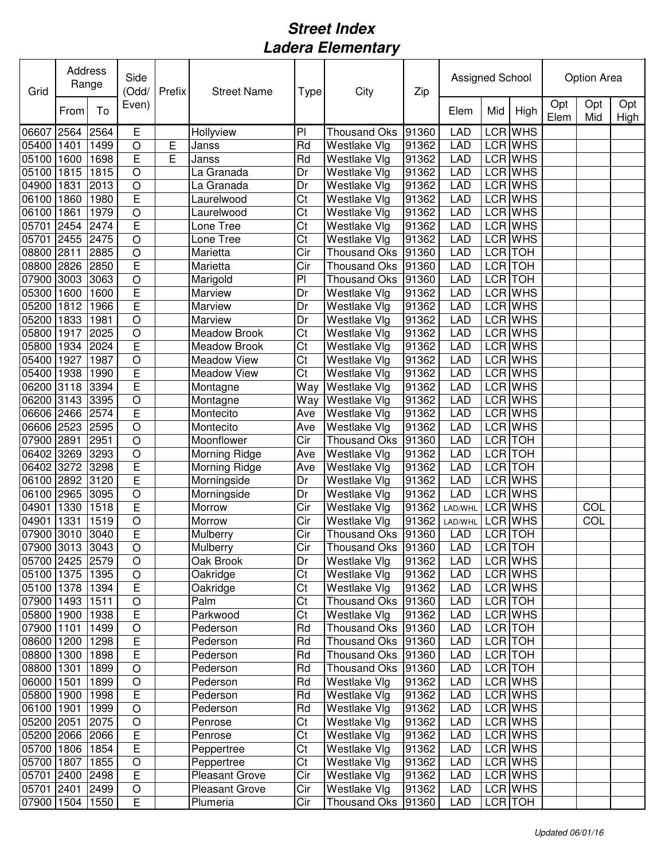| Grid            | Address<br>Range |      | Side<br>(Odd/  | Prefix | <b>Street Name</b>    | Type                    | City                | Zip   | Assigned School |     |                |             | Option Area |             |  |
|-----------------|------------------|------|----------------|--------|-----------------------|-------------------------|---------------------|-------|-----------------|-----|----------------|-------------|-------------|-------------|--|
|                 | From             | To   | Even)          |        |                       |                         |                     |       | Elem            | Mid | High           | Opt<br>Elem | Opt<br>Mid  | Opt<br>High |  |
| 06607           | 2564             | 2564 | E              |        | Hollyview             | PI                      | <b>Thousand Oks</b> | 91360 | <b>LAD</b>      |     | LCR WHS        |             |             |             |  |
| 05400           | 1401             | 1499 | $\circ$        | Ε      | Janss                 | Rd                      | Westlake Vlg        | 91362 | <b>LAD</b>      |     | <b>LCR WHS</b> |             |             |             |  |
| 05100           | 1600             | 1698 | E              | E      | Janss                 | Rd                      | Westlake Vlg        | 91362 | <b>LAD</b>      |     | LCR WHS        |             |             |             |  |
| 05100           | 1815             | 1815 | $\circ$        |        | La Granada            | Dr                      | Westlake Vlg        | 91362 | <b>LAD</b>      |     | <b>LCR WHS</b> |             |             |             |  |
| 04900           | 1831             | 2013 | $\bigcirc$     |        | La Granada            | Dr                      | Westlake Vlg        | 91362 | <b>LAD</b>      |     | LCR WHS        |             |             |             |  |
| 06100           | 1860             | 1980 | E              |        | Laurelwood            | Ct                      | <b>Westlake Vlg</b> | 91362 | <b>LAD</b>      |     | LCR WHS        |             |             |             |  |
| 06100           | 1861             | 1979 | $\circ$        |        | Laurelwood            | Ct                      | Westlake Vlg        | 91362 | <b>LAD</b>      |     | LCR WHS        |             |             |             |  |
| 05701           | 2454             | 2474 | E              |        | Lone Tree             | Ct                      | Westlake Vlg        | 91362 | <b>LAD</b>      |     | LCR WHS        |             |             |             |  |
| 05701           | 2455             | 2475 | $\circ$        |        | Lone Tree             | Ct                      | Westlake Vlg        | 91362 | <b>LAD</b>      |     | LCR WHS        |             |             |             |  |
| 08800           | 2811             | 2885 | $\circ$        |        | Marietta              | Cir                     | <b>Thousand Oks</b> | 91360 | <b>LAD</b>      |     | LCR TOH        |             |             |             |  |
| 08800           | 2826             | 2850 | E              |        | Marietta              | Cir                     | <b>Thousand Oks</b> | 91360 | <b>LAD</b>      |     | LCR TOH        |             |             |             |  |
| 07900           | 3003             | 3063 | $\bigcirc$     |        | Marigold              | PI                      | <b>Thousand Oks</b> | 91360 | <b>LAD</b>      |     | LCR TOH        |             |             |             |  |
| 05300           | 1600             | 1600 | E              |        | Marview               | Dr                      | Westlake Vlg        | 91362 | <b>LAD</b>      |     | LCR WHS        |             |             |             |  |
| 05200           | 1812             | 1966 | Ē              |        | Marview               | Dr                      | Westlake Vlg        | 91362 | <b>LAD</b>      |     | LCR WHS        |             |             |             |  |
| 05200           | 1833             | 1981 | $\circ$        |        | Marview               | Dr                      | <b>Westlake Vlg</b> | 91362 | <b>LAD</b>      |     | LCR WHS        |             |             |             |  |
| 05800           | 1917             | 2025 | $\overline{O}$ |        | Meadow Brook          | $\overline{\text{Ct}}$  | Westlake Vlg        | 91362 | <b>LAD</b>      |     | <b>LCR WHS</b> |             |             |             |  |
| 05800           | 1934             | 2024 | E              |        | <b>Meadow Brook</b>   | $\overline{\text{C}t}$  | Westlake Vlg        | 91362 | <b>LAD</b>      |     | <b>LCR</b> WHS |             |             |             |  |
| 05400           | 1927             | 1987 | $\overline{O}$ |        | <b>Meadow View</b>    | $\overline{\text{C}t}$  | Westlake Vlg        | 91362 | <b>LAD</b>      |     | <b>LCR WHS</b> |             |             |             |  |
| 05400           | 1938             | 1990 | E              |        | <b>Meadow View</b>    | $\overline{\text{C}t}$  | Westlake Vlg        | 91362 | <b>LAD</b>      |     | <b>LCR WHS</b> |             |             |             |  |
| 06200           | 3118             | 3394 | E              |        | Montagne              | Way                     | Westlake Vlg        | 91362 | <b>LAD</b>      |     | <b>LCR WHS</b> |             |             |             |  |
| 06200           | 3143             | 3395 | $\overline{O}$ |        | Montagne              | Way                     | Westlake Vlg        | 91362 | <b>LAD</b>      |     | <b>LCR WHS</b> |             |             |             |  |
| 06606 2466      |                  | 2574 | Ē              |        | Montecito             | Ave                     | Westlake Vlg        | 91362 | <b>LAD</b>      |     | LCR WHS        |             |             |             |  |
| 06606 2523      |                  | 2595 | $\circ$        |        | Montecito             | Ave                     | Westlake Vlg        | 91362 | <b>LAD</b>      |     | <b>LCR WHS</b> |             |             |             |  |
| 07900           | 2891             | 2951 | $\circ$        |        | Moonflower            | Cir                     | <b>Thousand Oks</b> | 91360 | <b>LAD</b>      |     | <b>LCR</b> TOH |             |             |             |  |
| 06402           | 3269             | 3293 | $\circ$        |        | Morning Ridge         | Ave                     | <b>Westlake Vlg</b> | 91362 | <b>LAD</b>      |     | <b>LCR</b> TOH |             |             |             |  |
| 06402           | 3272             | 3298 | E              |        | Morning Ridge         | Ave                     | Westlake Vlg        | 91362 | <b>LAD</b>      |     | LCR TOH        |             |             |             |  |
| 06100           | 2892             | 3120 | E              |        | Morningside           | Dr                      | Westlake Vlg        | 91362 | <b>LAD</b>      |     | LCR WHS        |             |             |             |  |
| 06100           | 2965             | 3095 | $\bigcirc$     |        | Morningside           | Dr                      | Westlake Vlg        | 91362 | <b>LAD</b>      |     | LCR WHS        |             |             |             |  |
| 04901           | 1330             | 1518 | E              |        | Morrow                | Cir                     | Westlake Vlg        | 91362 | LAD/WHL         |     | <b>LCR WHS</b> |             | COL         |             |  |
| 04901           | 1331             | 1519 | $\circ$        |        | Morrow                | Cir                     | Westlake Vlg        | 91362 | LAD/WHL         |     | LCR WHS        |             | COL         |             |  |
| 07900 3010 3040 |                  |      | E              |        | Mulberry              | Cir                     | <b>Thousand Oks</b> | 91360 | <b>LAD</b>      |     | LCR TOH        |             |             |             |  |
| 07900 3013 3043 |                  |      | $\overline{O}$ |        | Mulberry              | $\overline{\text{Cir}}$ | Thousand Oks 91360  |       | LAD             |     | LCR TOH        |             |             |             |  |
| 05700 2425 2579 |                  |      | $\circ$        |        | Oak Brook             | Dr                      | Westlake Vlg        | 91362 | <b>LAD</b>      |     | LCR WHS        |             |             |             |  |
| 05100 1375      |                  | 1395 | $\bigcirc$     |        | Oakridge              | C <sub>t</sub>          | Westlake Vlg        | 91362 | LAD             |     | LCR WHS        |             |             |             |  |
| 05100 1378      |                  | 1394 | $\overline{E}$ |        | Oakridge              | C <sub>t</sub>          | Westlake Vlg        | 91362 | <b>LAD</b>      |     | LCR WHS        |             |             |             |  |
| 07900 1493      |                  | 1511 | $\bigcirc$     |        | Palm                  | C <sub>t</sub>          | <b>Thousand Oks</b> | 91360 | <b>LAD</b>      |     | LCR TOH        |             |             |             |  |
| 05800 1900      |                  | 1938 | E              |        | Parkwood              | Ct                      | Westlake Vlg        | 91362 | <b>LAD</b>      |     | LCR WHS        |             |             |             |  |
| 07900 1101      |                  | 1499 | $\bigcirc$     |        | Pederson              | Rd                      | <b>Thousand Oks</b> | 91360 | <b>LAD</b>      |     | LCR TOH        |             |             |             |  |
| 08600 1200      |                  | 1298 | $\overline{E}$ |        | Pederson              | Rd                      | <b>Thousand Oks</b> | 91360 | <b>LAD</b>      |     | LCR TOH        |             |             |             |  |
| 08800 1300      |                  | 1898 | $\overline{E}$ |        | Pederson              | Rd                      | <b>Thousand Oks</b> | 91360 | <b>LAD</b>      |     | LCR TOH        |             |             |             |  |
| 08800 1301      |                  | 1899 | $\circ$        |        | Pederson              | Rd                      | <b>Thousand Oks</b> | 91360 | <b>LAD</b>      |     | LCR TOH        |             |             |             |  |
| 06000 1501      |                  | 1899 | $\circ$        |        | Pederson              | Rd                      | Westlake Vlg        | 91362 | <b>LAD</b>      |     | LCR WHS        |             |             |             |  |
| 05800 1900      |                  | 1998 | E              |        | Pederson              | Rd                      | Westlake Vlg        | 91362 | <b>LAD</b>      |     | LCR WHS        |             |             |             |  |
| 06100 1901      |                  | 1999 | $\circ$        |        | Pederson              | Rd                      | Westlake Vlg        | 91362 | <b>LAD</b>      |     | LCR WHS        |             |             |             |  |
| 05200 2051      |                  | 2075 | $\circ$        |        | Penrose               | $\overline{\text{C}t}$  | Westlake Vlg        | 91362 | <b>LAD</b>      |     | LCR WHS        |             |             |             |  |
| 05200 2066 2066 |                  |      | E              |        | Penrose               | $\overline{\text{C}t}$  | Westlake Vlg        | 91362 | <b>LAD</b>      |     | LCR WHS        |             |             |             |  |
| 05700 1806      |                  | 1854 | E              |        | Peppertree            | $\overline{\text{C}t}$  | Westlake Vlg        | 91362 | <b>LAD</b>      |     | LCR WHS        |             |             |             |  |
| 05700 1807      |                  | 1855 | $\bigcirc$     |        | Peppertree            | $\overline{\text{C}t}$  | Westlake Vlg        | 91362 | <b>LAD</b>      |     | LCR WHS        |             |             |             |  |
| 05701 2400 2498 |                  |      | E              |        | <b>Pleasant Grove</b> | Cir                     | Westlake Vlg        | 91362 | <b>LAD</b>      |     | LCR WHS        |             |             |             |  |
| 05701 2401      |                  | 2499 | $\bigcirc$     |        | <b>Pleasant Grove</b> | Cir                     | Westlake Vlg        | 91362 | <b>LAD</b>      |     | LCR WHS        |             |             |             |  |
| 07900 1504      |                  | 1550 | E              |        | Plumeria              | Cir                     | <b>Thousand Oks</b> | 91360 | <b>LAD</b>      |     | LCR TOH        |             |             |             |  |
|                 |                  |      |                |        |                       |                         |                     |       |                 |     |                |             |             |             |  |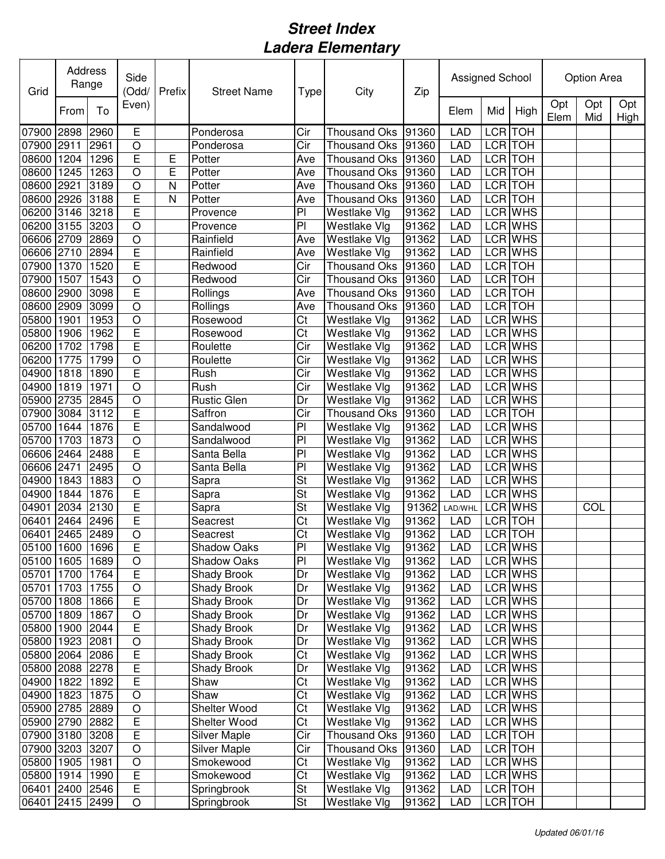| Grid            | Address<br>Range<br>To<br>From |      | Side<br>(Odd/           | Prefix | <b>Street Name</b>  | <b>Type</b>            | City                | Zip       | Assigned School |         |                | Option Area |            |             |
|-----------------|--------------------------------|------|-------------------------|--------|---------------------|------------------------|---------------------|-----------|-----------------|---------|----------------|-------------|------------|-------------|
|                 |                                |      | Even)                   |        |                     |                        |                     |           | Elem            | Mid     | High           | Opt<br>Elem | Opt<br>Mid | Opt<br>High |
| 07900           | 2898                           | 2960 | E                       |        | Ponderosa           | Cir                    | <b>Thousand Oks</b> | 91360     | <b>LAD</b>      |         | LCR TOH        |             |            |             |
| 07900           | 2911                           | 2961 | O                       |        | Ponderosa           | Cir                    | <b>Thousand Oks</b> | 91360     | <b>LAD</b>      |         | LCR TOH        |             |            |             |
| 08600           | 1204                           | 1296 | E                       | E      | Potter              | Ave                    | <b>Thousand Oks</b> | 91360     | <b>LAD</b>      |         | LCR TOH        |             |            |             |
| 08600           | 1245                           | 1263 | O                       | E      | Potter              | Ave                    | <b>Thousand Oks</b> | 91360     | <b>LAD</b>      |         | LCR TOH        |             |            |             |
| 08600           | 2921                           | 3189 | O                       | N      | Potter              | Ave                    | <b>Thousand Oks</b> | 91360     | <b>LAD</b>      |         | LCR TOH        |             |            |             |
| 08600 2926      |                                | 3188 | E                       | N      | Potter              | Ave                    | <b>Thousand Oks</b> | 91360     | <b>LAD</b>      |         | LCR TOH        |             |            |             |
| 06200 3146      |                                | 3218 | E                       |        | Provence            | P <sub>1</sub>         | Westlake Vlg        | 91362     | <b>LAD</b>      |         | LCR WHS        |             |            |             |
| 06200 3155      |                                | 3203 | O                       |        | Provence            | P <sub>1</sub>         | <b>Westlake Vlg</b> | 91362     | <b>LAD</b>      |         | LCR WHS        |             |            |             |
| 06606 2709      |                                | 2869 | O                       |        | Rainfield           | Ave                    | <b>Westlake Vlg</b> | 91362     | LAD             |         | LCR WHS        |             |            |             |
| 06606 2710      |                                | 2894 | E                       |        | Rainfield           | Ave                    | Westlake Vlg        | 91362     | <b>LAD</b>      |         | LCR WHS        |             |            |             |
| 07900           | 1370                           | 1520 | $\overline{\mathsf{E}}$ |        | Redwood             | Cir                    | <b>Thousand Oks</b> | 91360     | LAD             |         | LCR TOH        |             |            |             |
| 07900           | 1507                           | 1543 | $\bigcirc$              |        | Redwood             | Cir                    | <b>Thousand Oks</b> | 91360     | LAD             |         | LCR TOH        |             |            |             |
| 08600 2900      |                                | 3098 | E                       |        | Rollings            | Ave                    | Thousand Oks        | 91360     | <b>LAD</b>      |         | LCR TOH        |             |            |             |
| 08600 2909      |                                | 3099 | $\circ$                 |        | Rollings            | Ave                    | <b>Thousand Oks</b> | 91360     | <b>LAD</b>      |         | <b>LCR</b> TOH |             |            |             |
| 05800           | 1901                           | 1953 | O                       |        | Rosewood            | Ct                     | Westlake Vlg        | 91362     | LAD             |         | LCR WHS        |             |            |             |
| 05800           | 1906                           | 1962 | E                       |        | Rosewood            | Ct                     | Westlake Vlg        | 91362     | <b>LAD</b>      |         | LCR WHS        |             |            |             |
| 06200           | 1702                           | 1798 | Ē                       |        | Roulette            | Cir                    | Westlake Vlg        | 91362     | LAD             |         | LCR WHS        |             |            |             |
| 06200           | 1775                           | 1799 | O                       |        | Roulette            | Cir                    | Westlake Vlg        | 91362     | <b>LAD</b>      |         | <b>LCR WHS</b> |             |            |             |
| 04900           | 1818                           | 1890 | Ē                       |        | Rush                | Cir                    | Westlake Vlg        | 91362     | LAD             |         | <b>LCR WHS</b> |             |            |             |
| 04900           | 1819                           | 1971 | O                       |        | Rush                | Cir                    | Westlake Vlg        | 91362     | <b>LAD</b>      |         | LCR WHS        |             |            |             |
| 05900           | 2735                           | 2845 | O                       |        | <b>Rustic Glen</b>  | Dr                     | Westlake Vlg        | 91362     | <b>LAD</b>      |         | LCR WHS        |             |            |             |
| 07900           | 3084                           | 3112 | E                       |        | Saffron             | Cir                    | <b>Thousand Oks</b> | 91360     | <b>LAD</b>      |         | LCR TOH        |             |            |             |
| 05700           | 1644                           | 1876 | E                       |        | Sandalwood          | $\overline{P}$         | Westlake Vlg        | 91362     | <b>LAD</b>      |         | LCR WHS        |             |            |             |
| 05700 1703      |                                | 1873 | O                       |        | Sandalwood          | P                      | Westlake Vlg        | 91362     | <b>LAD</b>      |         | LCR WHS        |             |            |             |
| 06606 2464      |                                | 2488 | $\overline{E}$          |        | Santa Bella         | P                      | Westlake Vlg        | 91362     | <b>LAD</b>      |         | LCR WHS        |             |            |             |
| 06606 2471      |                                | 2495 | $\circ$                 |        | Santa Bella         | PI                     | Westlake Vlg        | 91362     | <b>LAD</b>      |         | LCR WHS        |             |            |             |
| 04900           | 1843                           | 1883 | $\bigcirc$              |        | Sapra               | St                     | Westlake Vlg        | 91362     | <b>LAD</b>      |         | LCR WHS        |             |            |             |
| 04900           | 1844                           | 1876 | E                       |        | Sapra               | St                     | Westlake Vlg        | 91362     | <b>LAD</b>      |         | <b>LCR WHS</b> |             |            |             |
| 04901           | 2034                           | 2130 | E                       |        | Sapra               | St                     | Westlake Vlg        | 91362     | LAD/WHL         |         | LCR WHS        |             | COL        |             |
| 06401           | 2464                           | 2496 | E                       |        | Seacrest            | Ct                     | Westlake Vlg        | 91362     | <b>LAD</b>      |         | LCR TOH        |             |            |             |
| 06401 2465 2489 |                                |      | $\circ$                 |        | Seacrest            | Ct                     | Westlake Vlg        | 91362     | <b>LAD</b>      | LCR TOH |                |             |            |             |
| 05100 1600 1696 |                                |      | $\overline{\mathsf{E}}$ |        | Shadow Oaks         | PI                     | Westlake Vlg        | 91362 LAD |                 |         | LCR WHS        |             |            |             |
| 05100 1605 1689 |                                |      | O                       |        | Shadow Oaks         | PI                     | Westlake Vlg        | 91362     | LAD             |         | LCR WHS        |             |            |             |
| 05701 1700      |                                | 1764 | E                       |        | <b>Shady Brook</b>  | Dr                     | Westlake Vlg        | 91362     | LAD             |         | LCR WHS        |             |            |             |
| 05701 1703      |                                | 1755 | O                       |        | <b>Shady Brook</b>  | Dr                     | Westlake Vlg        | 91362     | <b>LAD</b>      |         | LCR WHS        |             |            |             |
| 05700 1808      |                                | 1866 | $\overline{E}$          |        | <b>Shady Brook</b>  | Dr                     | Westlake Vlg        | 91362     | <b>LAD</b>      |         | LCR WHS        |             |            |             |
| 05700 1809      |                                | 1867 | O                       |        | Shady Brook         | Dr                     | Westlake Vlg        | 91362     | <b>LAD</b>      |         | LCR WHS        |             |            |             |
| 05800 1900      |                                | 2044 | $\overline{\mathsf{E}}$ |        | <b>Shady Brook</b>  | Dr                     | Westlake Vlg        | 91362     | <b>LAD</b>      |         | LCR WHS        |             |            |             |
| 05800 1923 2081 |                                |      | O                       |        | Shady Brook         | Dr                     | Westlake Vlg        | 91362     | <b>LAD</b>      |         | LCR WHS        |             |            |             |
| 05800 2064 2086 |                                |      | $\overline{E}$          |        | Shady Brook         | Ct                     | Westlake Vlg        | 91362     | LAD             |         | LCR WHS        |             |            |             |
| 05800 2088 2278 |                                |      | E                       |        | Shady Brook         | Dr                     | Westlake Vlg        | 91362     | LAD             |         | LCR WHS        |             |            |             |
| 04900 1822      |                                | 1892 | E                       |        | Shaw                | Ct                     | Westlake Vlg        | 91362     | <b>LAD</b>      |         | LCR WHS        |             |            |             |
| 04900 1823      |                                | 1875 | $\mathsf O$             |        | Shaw                | Ct                     | Westlake Vlg        | 91362     | <b>LAD</b>      |         | LCR WHS        |             |            |             |
| 05900 2785 2889 |                                |      | $\circ$                 |        | Shelter Wood        | $\overline{\text{C}t}$ | Westlake Vlg        | 91362     | LAD             |         | LCR WHS        |             |            |             |
| 05900 2790      |                                | 2882 | $\overline{E}$          |        | Shelter Wood        | Ct                     | Westlake Vlg        | 91362     | <b>LAD</b>      |         | LCR WHS        |             |            |             |
| 07900 3180 3208 |                                |      | $\overline{\mathsf{E}}$ |        | <b>Silver Maple</b> | $\overline{C}$ ir      | <b>Thousand Oks</b> | 91360     | <b>LAD</b>      |         | LCR TOH        |             |            |             |
| 07900 3203 3207 |                                |      | $\circ$                 |        | <b>Silver Maple</b> | Cir                    | <b>Thousand Oks</b> | 91360     | <b>LAD</b>      |         | LCR TOH        |             |            |             |
| 05800 1905      |                                | 1981 | $\mathsf O$             |        | Smokewood           | $\overline{\text{Ct}}$ | Westlake Vlg        | 91362     | <b>LAD</b>      |         | LCR WHS        |             |            |             |
| 05800 1914      |                                | 1990 | E                       |        | Smokewood           | $\overline{C}$         | Westlake Vlg        | 91362     | <b>LAD</b>      |         | LCR WHS        |             |            |             |
| 06401 2400 2546 |                                |      | $\overline{E}$          |        | Springbrook         | <b>St</b>              | Westlake Vlg        | 91362     | <b>LAD</b>      |         | LCR TOH        |             |            |             |
| 06401           | 2415 2499                      |      | O                       |        | Springbrook         | <b>St</b>              | Westlake Vlg        | 91362     | <b>LAD</b>      |         | LCR TOH        |             |            |             |
|                 |                                |      |                         |        |                     |                        |                     |           |                 |         |                |             |            |             |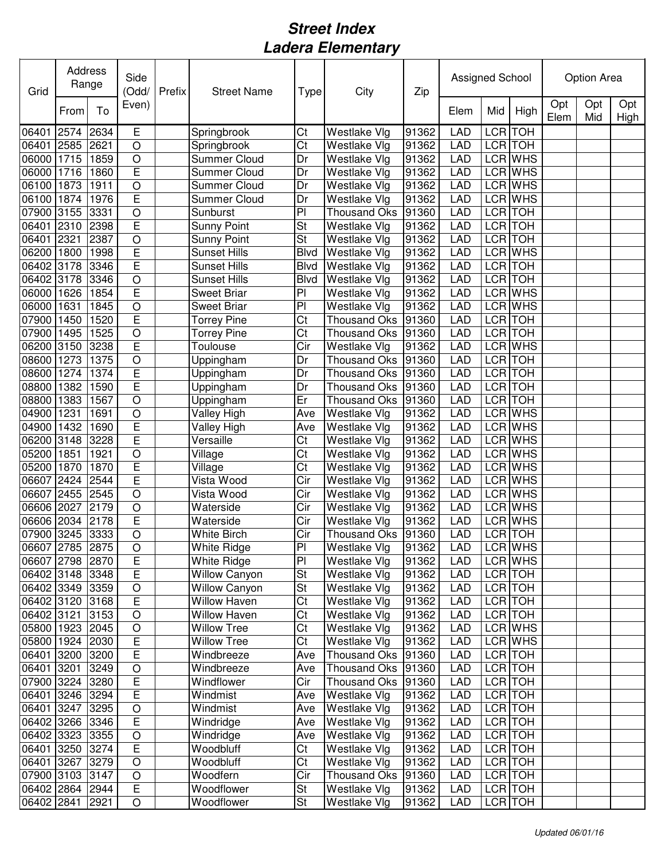| Grid            | Address<br>Range |      | Side<br>(Odd/           | Prefix | <b>Street Name</b>   | <b>Type</b>            | City                | Zip   | Assigned School |     |                | Option Area |            |             |  |
|-----------------|------------------|------|-------------------------|--------|----------------------|------------------------|---------------------|-------|-----------------|-----|----------------|-------------|------------|-------------|--|
|                 | From             | To   | Even)                   |        |                      |                        |                     |       | Elem            | Mid | High           | Opt<br>Elem | Opt<br>Mid | Opt<br>High |  |
| 06401           | 2574             | 2634 | E                       |        | Springbrook          | Ct                     | Westlake Vlg        | 91362 | <b>LAD</b>      |     | LCR TOH        |             |            |             |  |
| 06401           | 2585             | 2621 | $\circ$                 |        | Springbrook          | Ct                     | Westlake Vlg        | 91362 | <b>LAD</b>      |     | LCR TOH        |             |            |             |  |
| 06000           | 1715             | 1859 | O                       |        | <b>Summer Cloud</b>  | Dr                     | Westlake Vlg        | 91362 | <b>LAD</b>      |     | LCR WHS        |             |            |             |  |
| 06000           | 1716             | 1860 | E                       |        | Summer Cloud         | Dr                     | Westlake Vlg        | 91362 | <b>LAD</b>      |     | LCR WHS        |             |            |             |  |
| 06100           | 1873             | 1911 | O                       |        | <b>Summer Cloud</b>  | Dr                     | Westlake Vlg        | 91362 | <b>LAD</b>      |     | LCR WHS        |             |            |             |  |
| 06100           | 1874             | 1976 | E                       |        | <b>Summer Cloud</b>  | Dr                     | Westlake Vlg        | 91362 | <b>LAD</b>      |     | LCR WHS        |             |            |             |  |
| 07900 3155      |                  | 3331 | O                       |        | Sunburst             | P                      | <b>Thousand Oks</b> | 91360 | <b>LAD</b>      |     | LCR TOH        |             |            |             |  |
| 06401           | 2310             | 2398 | E                       |        | <b>Sunny Point</b>   | St                     | Westlake Vlg        | 91362 | <b>LAD</b>      |     | LCR TOH        |             |            |             |  |
| 06401           | 2321             | 2387 | O                       |        | <b>Sunny Point</b>   | St                     | Westlake Vlg        | 91362 | LAD             |     | LCR TOH        |             |            |             |  |
| 06200           | 1800             | 1998 | $\overline{E}$          |        | <b>Sunset Hills</b>  | <b>Blvd</b>            | Westlake Vlg        | 91362 | <b>LAD</b>      |     | LCR WHS        |             |            |             |  |
| 06402           | 3178             | 3346 | $\overline{\mathsf{E}}$ |        | <b>Sunset Hills</b>  | <b>Blvd</b>            | Westlake Vlg        | 91362 | <b>LAD</b>      |     | LCR TOH        |             |            |             |  |
| 06402 3178      |                  | 3346 | $\bigcirc$              |        | <b>Sunset Hills</b>  | <b>Blvd</b>            | Westlake Vlg        | 91362 | LAD             |     | LCR TOH        |             |            |             |  |
| 06000 1626      |                  | 1854 | E                       |        | <b>Sweet Briar</b>   | P                      | Westlake Vlg        | 91362 | <b>LAD</b>      |     | <b>LCR WHS</b> |             |            |             |  |
| 06000           | 1631             | 1845 | O                       |        | <b>Sweet Briar</b>   | P <sub>1</sub>         | Westlake Vlg        | 91362 | <b>LAD</b>      |     | LCR WHS        |             |            |             |  |
| 07900           | 1450             | 1520 | E                       |        | <b>Torrey Pine</b>   | $\overline{\text{Ct}}$ | <b>Thousand Oks</b> | 91360 | LAD             |     | LCR TOH        |             |            |             |  |
| 07900           | 1495             | 1525 | O                       |        | <b>Torrey Pine</b>   | $\overline{\text{C}t}$ | Thousand Oks        | 91360 | LAD             |     | <b>LCR</b> TOH |             |            |             |  |
| 06200           | 3150             | 3238 | Ē                       |        | <b>Toulouse</b>      | $\overline{C}$ ir      | Westlake Vlg        | 91362 | <b>LAD</b>      |     | <b>LCR WHS</b> |             |            |             |  |
| 08600           | 1273             | 1375 | $\overline{\rm o}$      |        | Uppingham            | Dr                     | <b>Thousand Oks</b> | 91360 | <b>LAD</b>      |     | <b>LCR</b> TOH |             |            |             |  |
| 08600           | 1274             | 1374 | $\overline{E}$          |        | Uppingham            | Dr                     | <b>Thousand Oks</b> | 91360 | LAD             |     | <b>LCR</b> TOH |             |            |             |  |
| 08800           | 1382             | 1590 | $\overline{E}$          |        | Uppingham            | Dr                     | <b>Thousand Oks</b> | 91360 | <b>LAD</b>      |     | <b>LCR</b> TOH |             |            |             |  |
| 08800           | 1383             | 1567 | $\overline{O}$          |        | Uppingham            | Er                     | <b>Thousand Oks</b> | 91360 | <b>LAD</b>      |     | <b>LCR</b> TOH |             |            |             |  |
| 04900           | 1231             | 1691 | $\bigcirc$              |        | <b>Valley High</b>   | Ave                    | Westlake Vlg        | 91362 | <b>LAD</b>      |     | LCR WHS        |             |            |             |  |
| 04900           | 1432             | 1690 | Ē                       |        | Valley High          | Ave                    | Westlake Vlg        | 91362 | <b>LAD</b>      |     | LCR WHS        |             |            |             |  |
| 06200 3148      |                  | 3228 | E                       |        | Versaille            | Ct                     | Westlake Vlg        | 91362 | <b>LAD</b>      |     | LCR WHS        |             |            |             |  |
| 05200           | 1851             | 1921 | O                       |        | Village              | Ct                     | Westlake Vlg        | 91362 | <b>LAD</b>      |     | LCR WHS        |             |            |             |  |
| 05200           | 1870             | 1870 | E                       |        | Village              | Ct                     | Westlake Vlg        | 91362 | <b>LAD</b>      |     | LCR WHS        |             |            |             |  |
| 06607           | 2424             | 2544 | $\overline{E}$          |        | Vista Wood           | Cir                    | Westlake Vlg        | 91362 | <b>LAD</b>      |     | LCR WHS        |             |            |             |  |
| 06607           | 2455             | 2545 | $\circ$                 |        | Vista Wood           | Cir                    | Westlake Vlg        | 91362 | <b>LAD</b>      |     | LCR WHS        |             |            |             |  |
| 06606 2027      |                  | 2179 | $\bigcirc$              |        | Waterside            | Cir                    | Westlake Vlg        | 91362 | <b>LAD</b>      |     | LCR WHS        |             |            |             |  |
| 06606 2034      |                  | 2178 | E                       |        | Waterside            | Cir                    | Westlake Vlg        | 91362 | <b>LAD</b>      |     | LCR WHS        |             |            |             |  |
| 07900 3245 3333 |                  |      | $\circ$                 |        | White Birch          | Cir                    | Thousand Oks        | 91360 | <b>LAD</b>      |     | LCR TOH        |             |            |             |  |
| 06607 2785 2875 |                  |      | $\overline{O}$          |        | <b>White Ridge</b>   | PI                     | Westlake Vlg        | 91362 | <b>LAD</b>      |     | LCR WHS        |             |            |             |  |
| 06607 2798 2870 |                  |      | E                       |        | White Ridge          | PI                     | Westlake Vlg        | 91362 | LAD             |     | LCR WHS        |             |            |             |  |
| 06402 3148 3348 |                  |      | $\overline{E}$          |        | <b>Willow Canyon</b> | <b>St</b>              | Westlake Vlg        | 91362 | LAD             |     | LCR TOH        |             |            |             |  |
| 06402 3349 3359 |                  |      | O                       |        | <b>Willow Canyon</b> | <b>St</b>              | Westlake Vlg        | 91362 | <b>LAD</b>      |     | LCR TOH        |             |            |             |  |
| 06402 3120 3168 |                  |      | $\overline{\mathsf{E}}$ |        | <b>Willow Haven</b>  | Ct                     | Westlake Vlg        | 91362 | <b>LAD</b>      |     | LCR TOH        |             |            |             |  |
| 06402 3121      |                  | 3153 | $\circ$                 |        | <b>Willow Haven</b>  | Ct                     | Westlake Vlg        | 91362 | <b>LAD</b>      |     | LCR TOH        |             |            |             |  |
| 05800 1923 2045 |                  |      | $\bigcirc$              |        | <b>Willow Tree</b>   | Ct                     | Westlake Vlg        | 91362 | <b>LAD</b>      |     | LCR WHS        |             |            |             |  |
| 05800 1924 2030 |                  |      | $\overline{E}$          |        | <b>Willow Tree</b>   | Ct                     | Westlake Vlg        | 91362 | LAD             |     | LCR WHS        |             |            |             |  |
| 06401 3200 3200 |                  |      | $\overline{E}$          |        | Windbreeze           | Ave                    | <b>Thousand Oks</b> | 91360 | LAD             |     | LCR TOH        |             |            |             |  |
| 06401 3201      |                  | 3249 | O                       |        | Windbreeze           | Ave                    | <b>Thousand Oks</b> | 91360 | LAD             |     | LCR TOH        |             |            |             |  |
| 07900 3224 3280 |                  |      | E                       |        | Windflower           | Cir                    | <b>Thousand Oks</b> | 91360 | LAD             |     | LCR TOH        |             |            |             |  |
| 06401 3246 3294 |                  |      | E                       |        | Windmist             | Ave                    | Westlake Vlg        | 91362 | <b>LAD</b>      |     | LCR TOH        |             |            |             |  |
| 06401 3247 3295 |                  |      | $\circ$                 |        | Windmist             | Ave                    | Westlake Vlg        | 91362 | <b>LAD</b>      |     | LCR TOH        |             |            |             |  |
| 06402 3266 3346 |                  |      | $\overline{E}$          |        | Windridge            | Ave                    | Westlake Vlg        | 91362 | <b>LAD</b>      |     | LCR TOH        |             |            |             |  |
| 06402 3323 3355 |                  |      | $\bigcirc$              |        | Windridge            | Ave                    | Westlake Vlg        | 91362 | <b>LAD</b>      |     | LCR TOH        |             |            |             |  |
| 06401 3250 3274 |                  |      | $\overline{E}$          |        | Woodbluff            | $\overline{\text{C}t}$ | Westlake Vlg        | 91362 | <b>LAD</b>      |     | LCR TOH        |             |            |             |  |
| 06401 3267      |                  | 3279 | $\bigcirc$              |        | Woodbluff            | $\overline{\text{Ct}}$ | Westlake Vlg        | 91362 | <b>LAD</b>      |     | LCR TOH        |             |            |             |  |
| 07900 3103 3147 |                  |      | $\mathsf O$             |        | Woodfern             | Cir                    | <b>Thousand Oks</b> | 91360 | <b>LAD</b>      |     | LCR TOH        |             |            |             |  |
| 06402 2864 2944 |                  |      | $\overline{E}$          |        | Woodflower           | <b>St</b>              | Westlake Vlg        | 91362 | <b>LAD</b>      |     | LCR TOH        |             |            |             |  |
| 06402 2841      |                  | 2921 | O                       |        | Woodflower           | <b>St</b>              | Westlake Vlg        | 91362 | LAD             |     | LCR TOH        |             |            |             |  |